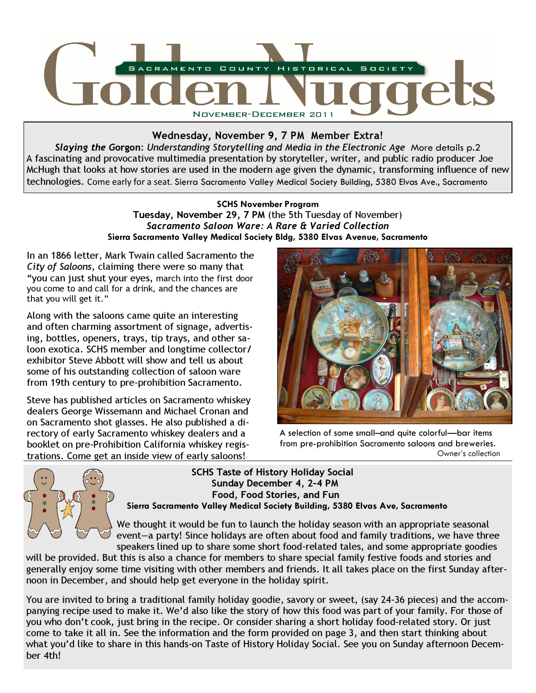

# Wednesday, November 9, 7 PM Member Extra!

Slaying the Gorgon: Understanding Storytelling and Media in the Electronic Age More details p.2 A fascinating and provocative multimedia presentation by storyteller, writer, and public radio producer Joe McHugh that looks at how stories are used in the modern age given the dynamic, transforming influence of new technologies. Come early for a seat. Sierra Sacramento Valley Medical Society Building, 5380 Elvas Ave., Sacramento

## SCHS November Program Tuesday, November 29, 7 PM (the 5th Tuesday of November) Sacramento Saloon Ware: A Rare & Varied Collection Sierra Sacramento Valley Medical Society Bldg, 5380 Elvas Avenue, Sacramento

In an 1866 letter, Mark Twain called Sacramento the City of Saloons, claiming there were so many that "you can just shut your eyes, march into the first door you come to and call for a drink, and the chances are that you will get it."

Along with the saloons came quite an interesting and often charming assortment of signage, advertising, bottles, openers, trays, tip trays, and other saloon exotica. SCHS member and longtime collector/ exhibitor Steve Abbott will show and tell us about some of his outstanding collection of saloon ware from 19th century to pre-prohibition Sacramento.

Steve has published articles on Sacramento whiskey dealers George Wissemann and Michael Cronan and on Sacramento shot glasses. He also published a directory of early Sacramento whiskey dealers and a booklet on pre-Prohibition California whiskey registrations. Come get an inside view of early saloons!



A selection of some small–and quite colorful—bar items from pre-prohibition Sacramento saloons and breweries. Owner's collection



 SCHS Taste of History Holiday Social Sunday December 4, 2–4 PM Food, Food Stories, and Fun Sierra Sacramento Valley Medical Society Building, 5380 Elvas Ave, Sacramento

We thought it would be fun to launch the holiday season with an appropriate seasonal event—a party! Since holidays are often about food and family traditions, we have three speakers lined up to share some short food-related tales, and some appropriate goodies

will be provided. But this is also a chance for members to share special family festive foods and stories and generally enjoy some time visiting with other members and friends. It all takes place on the first Sunday afternoon in December, and should help get everyone in the holiday spirit.

You are invited to bring a traditional family holiday goodie, savory or sweet, (say 24-36 pieces) and the accompanying recipe used to make it. We'd also like the story of how this food was part of your family. For those of you who don't cook, just bring in the recipe. Or consider sharing a short holiday food-related story. Or just come to take it all in. See the information and the form provided on page 3, and then start thinking about what you'd like to share in this hands-on Taste of History Holiday Social. See you on Sunday afternoon December 4th!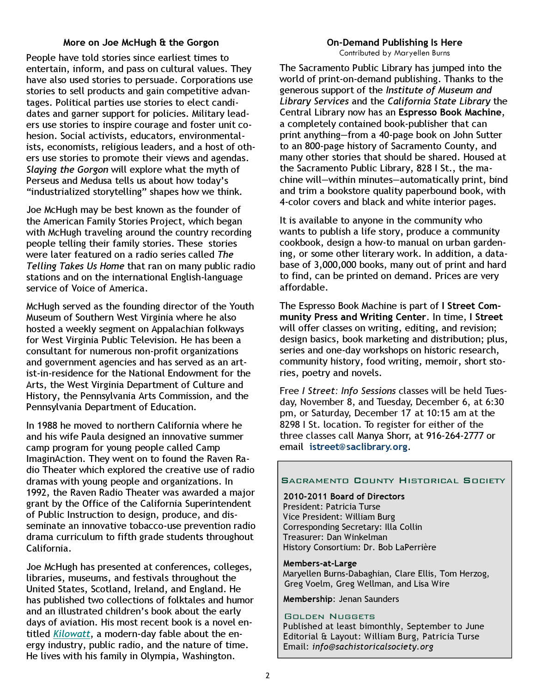#### More on Joe McHugh & the Gorgon

People have told stories since earliest times to entertain, inform, and pass on cultural values. They have also used stories to persuade. Corporations use stories to sell products and gain competitive advantages. Political parties use stories to elect candidates and garner support for policies. Military leaders use stories to inspire courage and foster unit cohesion. Social activists, educators, environmentalists, economists, religious leaders, and a host of others use stories to promote their views and agendas. Slaying the Gorgon will explore what the myth of Perseus and Medusa tells us about how today's "industrialized storytelling" shapes how we think.

Joe McHugh may be best known as the founder of the American Family Stories Project, which began with McHugh traveling around the country recording people telling their family stories. These stories were later featured on a radio series called The Telling Takes Us Home that ran on many public radio stations and on the international English-language service of Voice of America.

McHugh served as the founding director of the Youth Museum of Southern West Virginia where he also hosted a weekly segment on Appalachian folkways for West Virginia Public Television. He has been a consultant for numerous non-profit organizations and government agencies and has served as an artist-in-residence for the National Endowment for the Arts, the West Virginia Department of Culture and History, the Pennsylvania Arts Commission, and the Pennsylvania Department of Education.

In 1988 he moved to northern California where he and his wife Paula designed an innovative summer camp program for young people called Camp ImaginAction. They went on to found the Raven Radio Theater which explored the creative use of radio dramas with young people and organizations. In 1992, the Raven Radio Theater was awarded a major grant by the Office of the California Superintendent of Public Instruction to design, produce, and disseminate an innovative tobacco-use prevention radio drama curriculum to fifth grade students throughout California.

Joe McHugh has presented at conferences, colleges, libraries, museums, and festivals throughout the United States, Scotland, Ireland, and England. He has published two collections of folktales and humor and an illustrated children's book about the early days of aviation. His most recent book is a novel entitled Kilowatt, a modern-day fable about the energy industry, public radio, and the nature of time. He lives with his family in Olympia, Washington.

#### On-Demand Publishing Is Here Contributed by Maryellen Burns

The Sacramento Public Library has jumped into the world of print-on-demand publishing. Thanks to the generous support of the Institute of Museum and Library Services and the California State Library the Central Library now has an Espresso Book Machine, a completely contained book-publisher that can print anything—from a 40-page book on John Sutter to an 800-page history of Sacramento County, and many other stories that should be shared. Housed at the Sacramento Public Library, 828 I St., the machine will—within minutes—automatically print, bind and trim a bookstore quality paperbound book, with 4-color covers and black and white interior pages.

It is available to anyone in the community who wants to publish a life story, produce a community cookbook, design a how-to manual on urban gardening, or some other literary work. In addition, a database of 3,000,000 books, many out of print and hard to find, can be printed on demand. Prices are very affordable.

The Espresso Book Machine is part of I Street Community Press and Writing Center. In time, I Street will offer classes on writing, editing, and revision; design basics, book marketing and distribution; plus, series and one-day workshops on historic research, community history, food writing, memoir, short stories, poetry and novels.

Free I Street: Info Sessions classes will be held Tuesday, November 8, and Tuesday, December 6, at 6:30 pm, or Saturday, December 17 at 10:15 am at the 8298 I St. location. To register for either of the three classes call Manya Shorr, at 916-264-2777 or email istreet@saclibrary.org.

### **SACRAMENTO COUNTY HISTORICAL SOCIETY**

### 2010-2011 Board of Directors

President: Patricia Turse Vice President: William Burg Corresponding Secretary: Illa Collin Treasurer: Dan Winkelman History Consortium: Dr. Bob LaPerrière

#### Members-at-Large

 Maryellen Burns-Dabaghian, Clare Ellis, Tom Herzog, Greg Voelm, Greg Wellman, and Lisa Wire

Membership: Jenan Saunders

#### GOLDEN NUGGETS

Published at least bimonthly, September to June Editorial & Layout: William Burg, Patricia Turse Email: info@sachistoricalsociety.org

 $\overline{a}$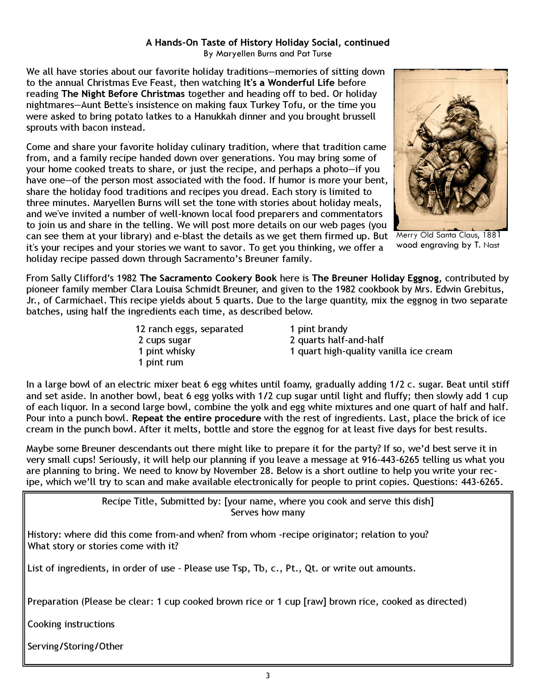# A Hands-On Taste of History Holiday Social, continued

By Maryellen Burns and Pat Turse

We all have stories about our favorite holiday traditions—memories of sitting down to the annual Christmas Eve Feast, then watching It's a Wonderful Life before reading The Night Before Christmas together and heading off to bed. Or holiday nightmares—Aunt Bette's insistence on making faux Turkey Tofu, or the time you were asked to bring potato latkes to a Hanukkah dinner and you brought brussell sprouts with bacon instead.

Come and share your favorite holiday culinary tradition, where that tradition came from, and a family recipe handed down over generations. You may bring some of your home cooked treats to share, or just the recipe, and perhaps a photo—if you have one—of the person most associated with the food. If humor is more your bent, share the holiday food traditions and recipes you dread. Each story is limited to three minutes. Maryellen Burns will set the tone with stories about holiday meals, and we've invited a number of well-known local food preparers and commentators to join us and share in the telling. We will post more details on our web pages (you can see them at your library) and e-blast the details as we get them firmed up. But Merry Old Santa Claus, 1881 it's your recipes and your stories we want to savor. To get you thinking, we offer a holiday recipe passed down through Sacramento's Breuner family.



wood engraving by T. Nast

From Sally Clifford's 1982 The Sacramento Cookery Book here is The Breuner Holiday Eggnog, contributed by pioneer family member Clara Louisa Schmidt Breuner, and given to the 1982 cookbook by Mrs. Edwin Grebitus, Jr., of Carmichael. This recipe yields about 5 quarts. Due to the large quantity, mix the eggnog in two separate batches, using half the ingredients each time, as described below.

> 12 ranch eggs, separated 1 pint brandy 2 cups sugar 2 quarts half-and-half 1 pint rum

1 pint whisky 1 quart high-quality vanilla ice cream

In a large bowl of an electric mixer beat 6 egg whites until foamy, gradually adding 1/2 c. sugar. Beat until stiff and set aside. In another bowl, beat 6 egg yolks with 1/2 cup sugar until light and fluffy; then slowly add 1 cup of each liquor. In a second large bowl, combine the yolk and egg white mixtures and one quart of half and half. Pour into a punch bowl. Repeat the entire procedure with the rest of ingredients. Last, place the brick of ice cream in the punch bowl. After it melts, bottle and store the eggnog for at least five days for best results.

Maybe some Breuner descendants out there might like to prepare it for the party? If so, we'd best serve it in very small cups! Seriously, it will help our planning if you leave a message at 916-443-6265 telling us what you are planning to bring. We need to know by November 28. Below is a short outline to help you write your recipe, which we'll try to scan and make available electronically for people to print copies. Questions: 443-6265.

> Recipe Title, Submitted by: [your name, where you cook and serve this dish] Serves how many

History: where did this come from-and when? from whom -recipe originator; relation to you? What story or stories come with it?

List of ingredients, in order of use – Please use Tsp, Tb, c., Pt., Qt. or write out amounts.

Preparation (Please be clear: 1 cup cooked brown rice or 1 cup [raw] brown rice, cooked as directed)

Cooking instructions

Serving/Storing/Other